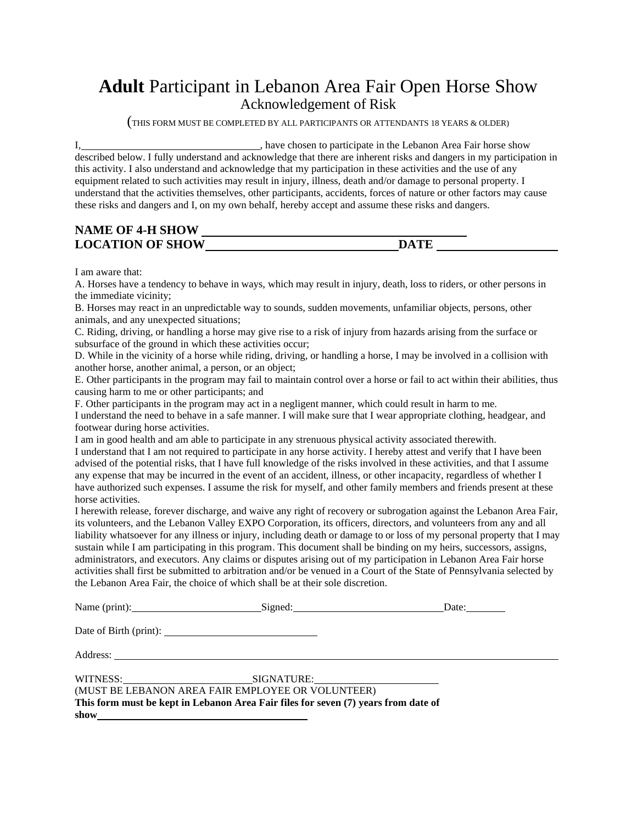## **Adult** Participant in Lebanon Area Fair Open Horse Show Acknowledgement of Risk

(THIS FORM MUST BE COMPLETED BY ALL PARTICIPANTS OR ATTENDANTS <sup>18</sup> YEARS & OLDER)

I, have chosen to participate in the Lebanon Area Fair horse show described below. I fully understand and acknowledge that there are inherent risks and dangers in my participation in this activity. I also understand and acknowledge that my participation in these activities and the use of any equipment related to such activities may result in injury, illness, death and/or damage to personal property. I understand that the activities themselves, other participants, accidents, forces of nature or other factors may cause these risks and dangers and I, on my own behalf, hereby accept and assume these risks and dangers.

## **NAME OF 4-H SHOW LOCATION OF SHOW DATE**

I am aware that:

A. Horses have a tendency to behave in ways, which may result in injury, death, loss to riders, or other persons in the immediate vicinity;

B. Horses may react in an unpredictable way to sounds, sudden movements, unfamiliar objects, persons, other animals, and any unexpected situations;

C. Riding, driving, or handling a horse may give rise to a risk of injury from hazards arising from the surface or subsurface of the ground in which these activities occur;

D. While in the vicinity of a horse while riding, driving, or handling a horse, I may be involved in a collision with another horse, another animal, a person, or an object;

E. Other participants in the program may fail to maintain control over a horse or fail to act within their abilities, thus causing harm to me or other participants; and

F. Other participants in the program may act in a negligent manner, which could result in harm to me. I understand the need to behave in a safe manner. I will make sure that I wear appropriate clothing, headgear, and footwear during horse activities.

I am in good health and am able to participate in any strenuous physical activity associated therewith.

I understand that I am not required to participate in any horse activity. I hereby attest and verify that I have been advised of the potential risks, that I have full knowledge of the risks involved in these activities, and that I assume any expense that may be incurred in the event of an accident, illness, or other incapacity, regardless of whether I have authorized such expenses. I assume the risk for myself, and other family members and friends present at these horse activities.

I herewith release, forever discharge, and waive any right of recovery or subrogation against the Lebanon Area Fair, its volunteers, and the Lebanon Valley EXPO Corporation, its officers, directors, and volunteers from any and all liability whatsoever for any illness or injury, including death or damage to or loss of my personal property that I may sustain while I am participating in this program. This document shall be binding on my heirs, successors, assigns, administrators, and executors. Any claims or disputes arising out of my participation in Lebanon Area Fair horse activities shall first be submitted to arbitration and/or be venued in a Court of the State of Pennsylvania selected by the Lebanon Area Fair, the choice of which shall be at their sole discretion.

|      | Name (print): Signed: Signed:                                                                                                           | Date: $\frac{ }{ }$ |
|------|-----------------------------------------------------------------------------------------------------------------------------------------|---------------------|
|      |                                                                                                                                         |                     |
|      |                                                                                                                                         |                     |
| show | (MUST BE LEBANON AREA FAIR EMPLOYEE OR VOLUNTEER)<br>This form must be kept in Lebanon Area Fair files for seven (7) years from date of |                     |